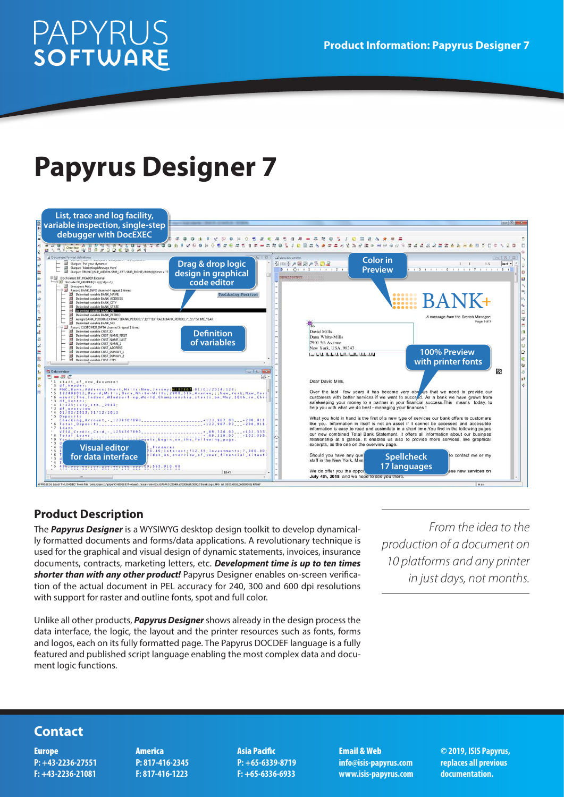# **PAPYRUS**<br>SOFTWARE

## **Papyrus Designer 7**



#### **Product Description**

The *Papyrus Designer* is a WYSIWYG desktop design toolkit to develop dynamically formatted documents and forms/data applications. A revolutionary technique is used for the graphical and visual design of dynamic statements, invoices, insurance documents, contracts, marketing letters, etc. *Development time is up to ten times shorter than with any other product!* Papyrus Designer enables on-screen verification of the actual document in PEL accuracy for 240, 300 and 600 dpi resolutions with support for raster and outline fonts, spot and full color.

Unlike all other products, *Papyrus Designer* shows already in the design process the data interface, the logic, the layout and the printer resources such as fonts, forms and logos, each on its fully formatted page. The Papyrus DOCDEF language is a fully featured and published script language enabling the most complex data and document logic functions.

*From the idea to the production of a document on 10 platforms and any printer in just days, not months.*

### **Contact**

Europe **P: +43-2236-27551 F: +43-2236-21081** America **P: 817-416-2345 F: 817-416-1223**

Asia Pacific **P: +65-6339-8719 F: +65-6336-6933**

Email & Web **info@isis-papyrus.com www.isis-papyrus.com** **© 2019, ISIS Papyrus, replaces all previous documentation.**